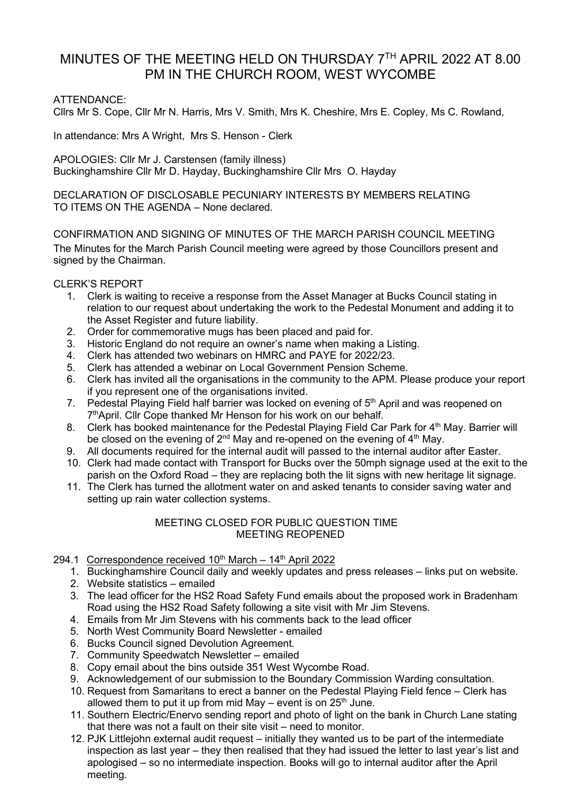# MINUTES OF THE MEETING HELD ON THURSDAY 7TH APRIL 2022 AT 8.00 PM IN THE CHURCH ROOM, WEST WYCOMBE

# ATTENDANCE:

Cllrs Mr S. Cope, Cllr Mr N. Harris, Mrs V. Smith, Mrs K. Cheshire, Mrs E. Copley, Ms C. Rowland,

In attendance: Mrs A Wright, Mrs S. Henson - Clerk

APOLOGIES: Cllr Mr J. Carstensen (family illness) Buckinghamshire Cllr Mr D. Hayday, Buckinghamshire Cllr Mrs O. Hayday

DECLARATION OF DISCLOSABLE PECUNIARY INTERESTS BY MEMBERS RELATING TO ITEMS ON THE AGENDA – None declared.

CONFIRMATION AND SIGNING OF MINUTES OF THE MARCH PARISH COUNCIL MEETING The Minutes for the March Parish Council meeting were agreed by those Councillors present and signed by the Chairman.

CLERK'S REPORT

- 1. Clerk is waiting to receive a response from the Asset Manager at Bucks Council stating in relation to our request about undertaking the work to the Pedestal Monument and adding it to the Asset Register and future liability.
- 2. Order for commemorative mugs has been placed and paid for.
- 3. Historic England do not require an owner's name when making a Listing.
- 4. Clerk has attended two webinars on HMRC and PAYE for 2022/23.
- 5. Clerk has attended a webinar on Local Government Pension Scheme.
- 6. Clerk has invited all the organisations in the community to the APM. Please produce your report if you represent one of the organisations invited.
- 7. Pedestal Playing Field half barrier was locked on evening of 5<sup>th</sup> April and was reopened on 7th April. Cllr Cope thanked Mr Henson for his work on our behalf.
- 8. Clerk has booked maintenance for the Pedestal Playing Field Car Park for 4<sup>th</sup> May. Barrier will be closed on the evening of  $2^{nd}$  May and re-opened on the evening of  $4^{th}$  May.
- 9. All documents required for the internal audit will passed to the internal auditor after Easter.
- 10. Clerk had made contact with Transport for Bucks over the 50mph signage used at the exit to the parish on the Oxford Road – they are replacing both the lit signs with new heritage lit signage.
- 11. The Clerk has turned the allotment water on and asked tenants to consider saving water and setting up rain water collection systems.

## MEETING CLOSED FOR PUBLIC QUESTION TIME MEETING REOPENED

## 294.1 Correspondence received  $10^{th}$  March –  $14^{th}$  April 2022

- 1. Buckinghamshire Council daily and weekly updates and press releases links put on website.
- 2. Website statistics emailed
- 3. The lead officer for the HS2 Road Safety Fund emails about the proposed work in Bradenham Road using the HS2 Road Safety following a site visit with Mr Jim Stevens.
- 4. Emails from Mr Jim Stevens with his comments back to the lead officer
- 5. North West Community Board Newsletter emailed
- 6. Bucks Council signed Devolution Agreement.
- 7. Community Speedwatch Newsletter emailed
- 8. Copy email about the bins outside 351 West Wycombe Road.
- 9. Acknowledgement of our submission to the Boundary Commission Warding consultation.
- 10. Request from Samaritans to erect a banner on the Pedestal Playing Field fence Clerk has allowed them to put it up from mid May – event is on  $25<sup>th</sup>$  June.
- 11. Southern Electric/Enervo sending report and photo of light on the bank in Church Lane stating that there was not a fault on their site visit – need to monitor.
- 12. PJK Littlejohn external audit request initially they wanted us to be part of the intermediate inspection as last year – they then realised that they had issued the letter to last year's list and apologised – so no intermediate inspection. Books will go to internal auditor after the April meeting.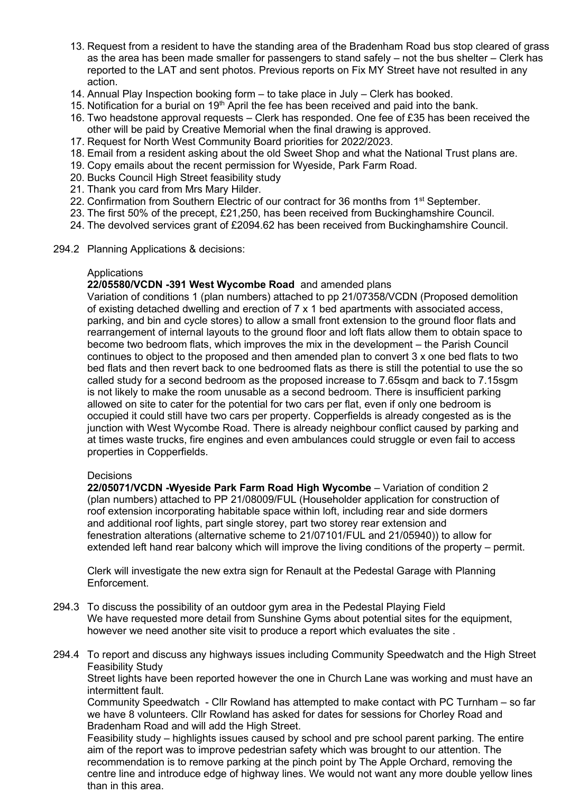- 13. Request from a resident to have the standing area of the Bradenham Road bus stop cleared of grass as the area has been made smaller for passengers to stand safely – not the bus shelter – Clerk has reported to the LAT and sent photos. Previous reports on Fix MY Street have not resulted in any action.
- 14. Annual Play Inspection booking form to take place in July Clerk has booked.
- 15. Notification for a burial on  $19<sup>th</sup>$  April the fee has been received and paid into the bank.
- 16. Two headstone approval requests Clerk has responded. One fee of £35 has been received the other will be paid by Creative Memorial when the final drawing is approved.
- 17. Request for North West Community Board priorities for 2022/2023.
- 18. Email from a resident asking about the old Sweet Shop and what the National Trust plans are.
- 19. Copy emails about the recent permission for Wyeside, Park Farm Road.
- 20. Bucks Council High Street feasibility study
- 21. Thank you card from Mrs Mary Hilder.
- 22. Confirmation from Southern Electric of our contract for 36 months from 1<sup>st</sup> September.
- 23. The first 50% of the precept, £21,250, has been received from Buckinghamshire Council.
- 24. The devolved services grant of £2094.62 has been received from Buckinghamshire Council.
- 294.2 Planning Applications & decisions:

#### Applications

## **22/05580/VCDN -391 West Wycombe Road** and amended plans

[Variation of conditions 1 \(plan numbers\) attached to pp 21/07358/VCDN \(Proposed demolition](https://publicaccess.wycombe.gov.uk/idoxpa-web/applicationDetails.do?keyVal=R87JGFSCG1P00&activeTab=summary)  [of existing detached dwelling and erection of 7 x 1 bed apartments with associated access,](https://publicaccess.wycombe.gov.uk/idoxpa-web/applicationDetails.do?keyVal=R87JGFSCG1P00&activeTab=summary)  [parking, and bin and cycle stores\) to allow a small front extension to the ground floor flats and](https://publicaccess.wycombe.gov.uk/idoxpa-web/applicationDetails.do?keyVal=R87JGFSCG1P00&activeTab=summary)  [rearrangement of internal layouts to the ground floor and loft flats allow them to obtain space to](https://publicaccess.wycombe.gov.uk/idoxpa-web/applicationDetails.do?keyVal=R87JGFSCG1P00&activeTab=summary)  [become two bedroom flats, which improves the mix in the development](https://publicaccess.wycombe.gov.uk/idoxpa-web/applicationDetails.do?keyVal=R87JGFSCG1P00&activeTab=summary) – the Parish Council continues to object to the proposed and then amended plan to convert 3 x one bed flats to two bed flats and then revert back to one bedroomed flats as there is still the potential to use the so called study for a second bedroom as the proposed increase to 7.65sqm and back to 7.15sgm is not likely to make the room unusable as a second bedroom. There is insufficient parking allowed on site to cater for the potential for two cars per flat, even if only one bedroom is occupied it could still have two cars per property. Copperfields is already congested as is the junction with West Wycombe Road. There is already neighbour conflict caused by parking and at times waste trucks, fire engines and even ambulances could struggle or even fail to access properties in Copperfields.

#### **Decisions**

**22/05071/VCDN -Wyeside Park Farm Road High Wycombe** – Variation of condition 2 (plan numbers) attached to PP 21/08009/FUL (Householder application for construction of roof extension incorporating habitable space within loft, including rear and side dormers and additional roof lights, part single storey, part two storey rear extension and fenestration alterations (alternative scheme to 21/07101/FUL and 21/05940)) to allow for extended left hand rear balcony which will improve the living conditions of the property – permit.

Clerk will investigate the new extra sign for Renault at the Pedestal Garage with Planning Enforcement.

- 294.3 To discuss the possibility of an outdoor gym area in the Pedestal Playing Field We have requested more detail from Sunshine Gyms about potential sites for the equipment, however we need another site visit to produce a report which evaluates the site .
- 294.4 To report and discuss any highways issues including Community Speedwatch and the High Street Feasibility Study

Street lights have been reported however the one in Church Lane was working and must have an intermittent fault.

Community Speedwatch - Cllr Rowland has attempted to make contact with PC Turnham – so far we have 8 volunteers. Cllr Rowland has asked for dates for sessions for Chorley Road and Bradenham Road and will add the High Street.

Feasibility study – highlights issues caused by school and pre school parent parking. The entire aim of the report was to improve pedestrian safety which was brought to our attention. The recommendation is to remove parking at the pinch point by The Apple Orchard, removing the centre line and introduce edge of highway lines. We would not want any more double yellow lines than in this area.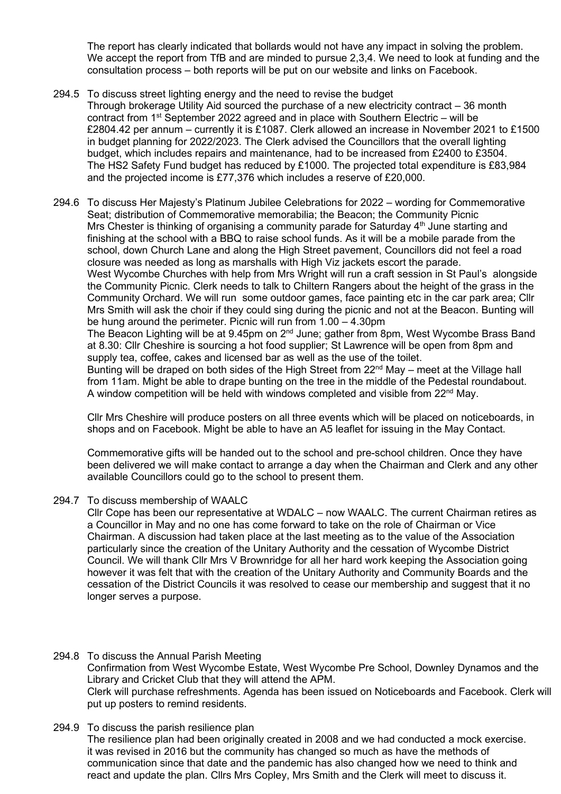The report has clearly indicated that bollards would not have any impact in solving the problem. We accept the report from TfB and are minded to pursue 2,3,4. We need to look at funding and the consultation process – both reports will be put on our website and links on Facebook.

294.5 To discuss street lighting energy and the need to revise the budget Through brokerage Utility Aid sourced the purchase of a new electricity contract – 36 month contract from  $1<sup>st</sup>$  September 2022 agreed and in place with Southern Electric – will be £2804.42 per annum – currently it is £1087. Clerk allowed an increase in November 2021 to £1500 in budget planning for 2022/2023. The Clerk advised the Councillors that the overall lighting budget, which includes repairs and maintenance, had to be increased from £2400 to £3504. The HS2 Safety Fund budget has reduced by £1000. The projected total expenditure is £83,984 and the projected income is £77,376 which includes a reserve of £20,000.

294.6 To discuss Her Majesty's Platinum Jubilee Celebrations for 2022 – wording for Commemorative Seat; distribution of Commemorative memorabilia; the Beacon; the Community Picnic Mrs Chester is thinking of organising a community parade for Saturday  $4<sup>th</sup>$  June starting and finishing at the school with a BBQ to raise school funds. As it will be a mobile parade from the school, down Church Lane and along the High Street pavement, Councillors did not feel a road closure was needed as long as marshalls with High Viz jackets escort the parade. West Wycombe Churches with help from Mrs Wright will run a craft session in St Paul's alongside the Community Picnic. Clerk needs to talk to Chiltern Rangers about the height of the grass in the Community Orchard. We will run some outdoor games, face painting etc in the car park area; Cllr Mrs Smith will ask the choir if they could sing during the picnic and not at the Beacon. Bunting will be hung around the perimeter. Picnic will run from 1.00 – 4.30pm The Beacon Lighting will be at 9.45pm on 2<sup>nd</sup> June; gather from 8pm, West Wycombe Brass Band at 8.30: Cllr Cheshire is sourcing a hot food supplier; St Lawrence will be open from 8pm and supply tea, coffee, cakes and licensed bar as well as the use of the toilet. Bunting will be draped on both sides of the High Street from  $22<sup>nd</sup>$  May – meet at the Village hall from 11am. Might be able to drape bunting on the tree in the middle of the Pedestal roundabout. A window competition will be held with windows completed and visible from 22<sup>nd</sup> May.

Cllr Mrs Cheshire will produce posters on all three events which will be placed on noticeboards, in shops and on Facebook. Might be able to have an A5 leaflet for issuing in the May Contact.

Commemorative gifts will be handed out to the school and pre-school children. Once they have been delivered we will make contact to arrange a day when the Chairman and Clerk and any other available Councillors could go to the school to present them.

294.7 To discuss membership of WAALC

Cllr Cope has been our representative at WDALC – now WAALC. The current Chairman retires as a Councillor in May and no one has come forward to take on the role of Chairman or Vice Chairman. A discussion had taken place at the last meeting as to the value of the Association particularly since the creation of the Unitary Authority and the cessation of Wycombe District Council. We will thank Cllr Mrs V Brownridge for all her hard work keeping the Association going however it was felt that with the creation of the Unitary Authority and Community Boards and the cessation of the District Councils it was resolved to cease our membership and suggest that it no longer serves a purpose.

294.8 To discuss the Annual Parish Meeting Confirmation from West Wycombe Estate, West Wycombe Pre School, Downley Dynamos and the Library and Cricket Club that they will attend the APM. Clerk will purchase refreshments. Agenda has been issued on Noticeboards and Facebook. Clerk will put up posters to remind residents.

react and update the plan. Cllrs Mrs Copley, Mrs Smith and the Clerk will meet to discuss it.

294.9 To discuss the parish resilience plan The resilience plan had been originally created in 2008 and we had conducted a mock exercise. it was revised in 2016 but the community has changed so much as have the methods of communication since that date and the pandemic has also changed how we need to think and